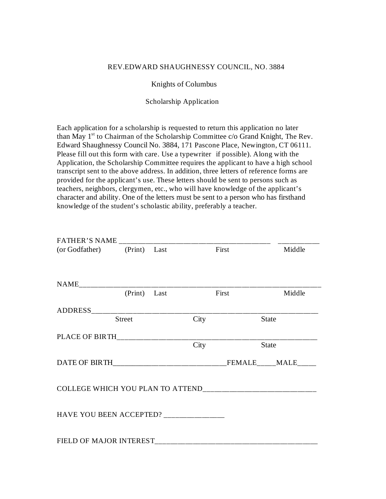## REV.EDWARD SHAUGHNESSY COUNCIL, NO. 3884

## Knights of Columbus

## Scholarship Application

Each application for a scholarship is requested to return this application no later than May 1<sup>st</sup> to Chairman of the Scholarship Committee c/o Grand Knight, The Rev. Edward Shaughnessy Council No. 3884, 171 Pascone Place, Newington, CT 06111. Please fill out this form with care. Use a typewriter if possible). Along with the Application, the Scholarship Committee requires the applicant to have a high school transcript sent to the above address. In addition, three letters of reference forms are provided for the applicant's use. These letters should be sent to persons such as teachers, neighbors, clergymen, etc., who will have knowledge of the applicant's character and ability. One of the letters must be sent to a person who has firsthand knowledge of the student's scholastic ability, preferably a teacher.

| (or Godfather) (Print) Last            |               |      | First | Middle       |
|----------------------------------------|---------------|------|-------|--------------|
|                                        |               |      |       |              |
|                                        |               |      |       |              |
|                                        | (Print) Last  |      | First | Middle       |
| ADDRESS________________________        |               |      |       |              |
|                                        | <b>Street</b> | City |       | <b>State</b> |
|                                        |               |      |       |              |
|                                        |               | City |       | <b>State</b> |
|                                        |               |      |       |              |
|                                        |               |      |       |              |
| HAVE YOU BEEN ACCEPTED? ______________ |               |      |       |              |
| FIELD OF MAJOR INTEREST                |               |      |       |              |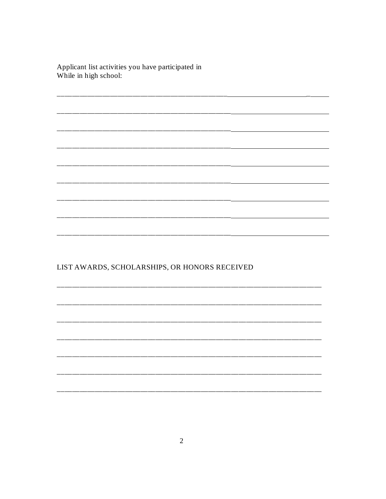Applicant list activities you have participated in<br>While in high school:

 $\Delta \sim 10^{-10}$ 

LIST AWARDS, SCHOLARSHIPS, OR HONORS RECEIVED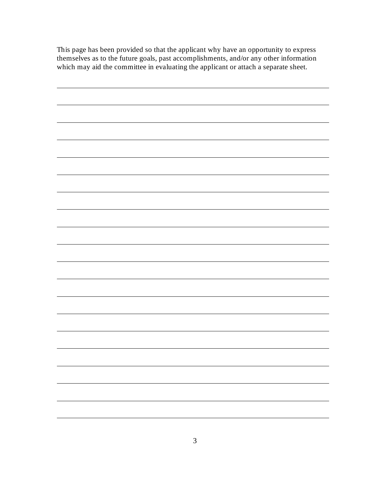This page has been provided so that the applicant why have an opportunity to express themselves as to the future goals, past accomplishments, and/or any other information which may aid the committee in evaluating the applicant or attach a separate sheet.